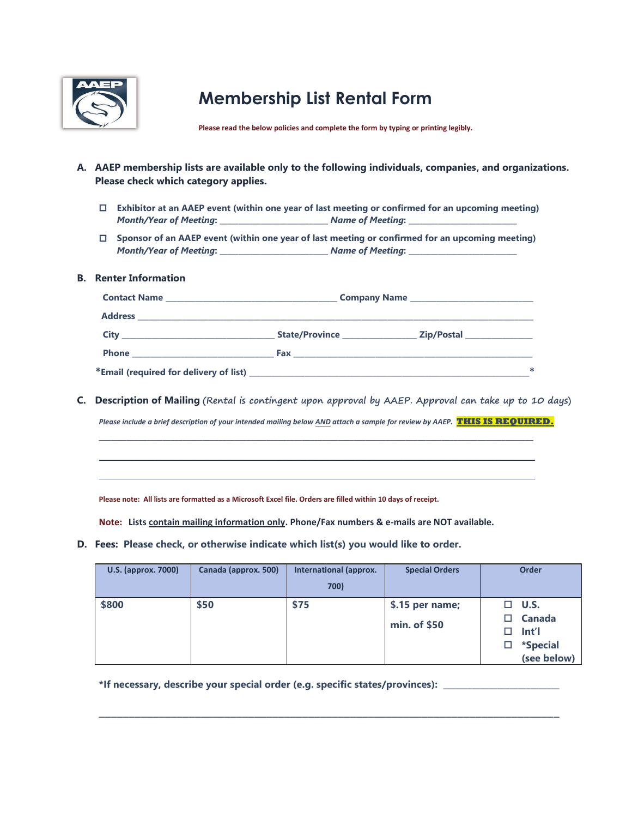

## **Membership List Rental Form**

**Please read the below policies and complete the form by typing or printing legibly.**

- **A. AAEP membership lists are available only to the following individuals, companies, and organizations. Please check which category applies.** 
	- **Exhibitor at an AAEP event (within one year of last meeting or confirmed for an upcoming meeting)**  *Month/Year of Meeting***: \_\_\_\_\_\_\_\_\_\_\_\_\_\_\_\_\_\_\_\_\_\_\_\_\_\_\_\_\_** *Name of Meeting***: \_\_\_\_\_\_\_\_\_\_\_\_\_\_\_\_\_\_\_\_\_\_\_\_\_\_\_\_\_**
	- **Sponsor of an AAEP event (within one year of last meeting or confirmed for an upcoming meeting)**  *Month/Year of Meeting***: \_\_\_\_\_\_\_\_\_\_\_\_\_\_\_\_\_\_\_\_\_\_\_\_\_\_\_\_\_** *Name of Meeting***: \_\_\_\_\_\_\_\_\_\_\_\_\_\_\_\_\_\_\_\_\_\_\_\_\_\_\_\_\_**

## **B. Renter Information**

| <b>Address</b> |                       |                             |  |  |
|----------------|-----------------------|-----------------------------|--|--|
| City           | <b>State/Province</b> | Zip/Postal <b>Example 2</b> |  |  |
|                | Fax                   |                             |  |  |
|                |                       |                             |  |  |

**C. Description of Mailing (Rental is contingent upon approval by AAEP. Approval can take up to 10 days)**

*Please include a brief description of your intended mailing below AND attach a sample for review by AAEP.* **THIS IS REQUIRED.** 

**\_\_\_\_\_\_\_\_\_\_\_\_\_\_\_\_\_\_\_\_\_\_\_\_\_\_\_\_\_\_\_\_\_\_\_\_\_\_\_\_\_\_\_\_\_\_\_\_\_\_\_\_\_\_\_\_\_\_\_\_\_\_\_\_\_\_\_\_\_\_\_\_\_\_\_\_\_\_\_\_\_\_\_\_\_\_\_\_\_\_\_\_\_\_\_\_\_\_\_\_\_\_\_\_\_\_\_\_\_ \_\_\_\_\_\_\_\_\_\_\_\_\_\_\_\_\_\_\_\_\_\_\_\_\_\_\_\_\_\_\_\_\_\_\_\_\_\_\_\_\_\_\_\_\_\_\_\_\_\_\_\_\_\_\_\_\_\_\_\_\_\_\_\_\_\_\_\_\_\_\_\_\_\_\_\_\_\_\_\_\_\_\_\_\_\_\_\_\_\_\_\_\_\_\_\_\_\_\_\_\_\_\_\_\_\_\_\_\_ \_\_\_\_\_\_\_\_\_\_\_\_\_\_\_\_\_\_\_\_\_\_\_\_\_\_\_\_\_\_\_\_\_\_\_\_\_\_\_\_\_\_\_\_\_\_\_\_\_\_\_\_\_\_\_\_\_\_\_\_\_\_\_\_\_\_\_\_\_\_\_\_\_\_\_\_\_\_\_\_\_\_\_\_\_\_\_\_\_\_\_\_\_\_\_\_\_\_\_\_\_\_\_\_\_\_\_\_\_** 

**Please note: All lists are formatted as a Microsoft Excel file. Orders are filled within 10 days of receipt.** 

**Note: Lists contain mailing information only. Phone/Fax numbers & e-mails are NOT available.** 

**D. Fees: Please check, or otherwise indicate which list(s) you would like to order.**

| <b>U.S. (approx. 7000)</b> | Canada (approx. 500) | International (approx. | <b>Special Orders</b> | <b>Order</b> |               |
|----------------------------|----------------------|------------------------|-----------------------|--------------|---------------|
|                            |                      | 700)                   |                       |              |               |
| \$800                      | \$50                 | \$75                   | \$.15 per name;       |              | $\Box$ U.S.   |
|                            |                      |                        | min. of \$50          |              | <b>Canada</b> |
|                            |                      |                        |                       |              | lnt'l         |
|                            |                      |                        |                       | □            | *Special      |
|                            |                      |                        |                       |              | (see below)   |

\_\_\_\_\_\_\_\_\_\_\_\_\_\_\_\_\_\_\_\_\_\_\_\_\_\_\_\_\_\_\_\_\_\_\_\_\_\_\_\_\_\_\_\_\_\_\_\_\_\_\_\_\_\_\_\_\_\_\_\_\_\_\_\_\_\_\_\_\_\_\_\_\_\_\_\_\_

\*If necessary, describe your special order (e.g. specific states/provinces):